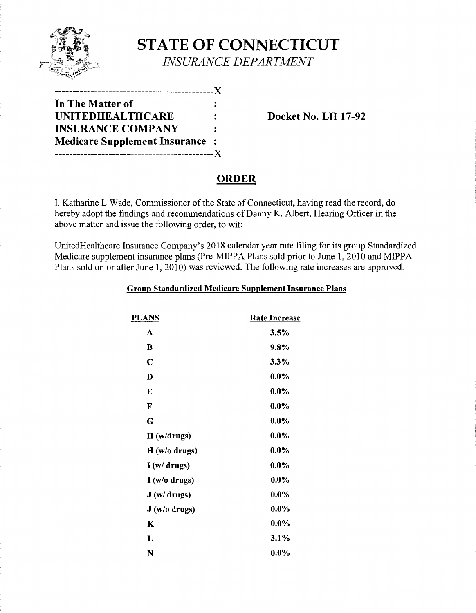

**STATE OF CONNECTICUT**  *INSURANCE DEPARTMENT* 

| In The Matter of                     |                      |
|--------------------------------------|----------------------|
| <b>UNITEDHEALTHCARE</b>              | $\ddot{\phantom{a}}$ |
| <b>INSURANCE COMPANY</b>             | $\ddot{\cdot}$       |
| <b>Medicare Supplement Insurance</b> |                      |
| --------------------------------     |                      |

Docket No. LH 17-92

## ORDER

I, Katharine L Wade, Commissioner of the State of Connecticut, having read the record, do hereby adopt the findings and recommendations of Danny K. Albert, Hearing Officer in the above matter and issue the following order, to wit:

UnitedHealthcare Insurance Company's 2018 calendar year rate filing for its group Standardized Medicare supplement insurance plans (Pre-MIPPA Plans sold prior to June 1, 2010 and MIPPA Plans sold on or after June 1, 2010) was reviewed. The following rate increases are approved.

|  |  | Group Standardized Medicare Supplement Insurance Plans |
|--|--|--------------------------------------------------------|
|  |  |                                                        |

| <b>PLANS</b> | <b>Rate Increase</b> |
|--------------|----------------------|
| A            | 3.5%                 |
| B            | 9.8%                 |
| $\mathbf C$  | 3.3%                 |
| D            | $0.0\%$              |
| E            | $0.0\%$              |
| F            | $0.0\%$              |
| G            | $0.0\%$              |
| H(w/drugs)   | $0.0\%$              |
| H(w/o drugs) | $0.0\%$              |
| I(w/drugs)   | $0.0\%$              |
| I(w/o drugs) | $0.0\%$              |
| J(w/drugs)   | $0.0\%$              |
| J(w/o drugs) | $0.0\%$              |
| K            | $0.0\%$              |
| L            | 3.1%                 |
| N            | $0.0\%$              |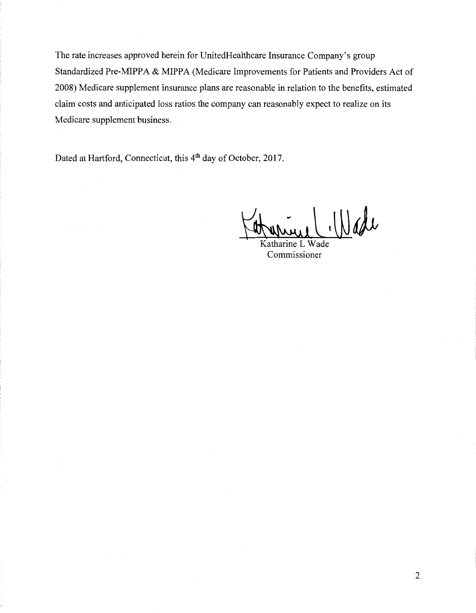The rate increases approved herein for UnitedHealthcare Insurance Company's group Standardized Pre-MIPPA & MIPPA (Medicare Improvements for Patients and Providers Act of 2008) Medicare supplement insurance plans are reasonable in relation to the benefits, estimated claim costs and anticipated loss ratios the company can reasonably expect to realize on its Medicare supplement business.

Dated at Hartford, Connecticut, this 4<sup>th</sup> day of October, 2017.

Aurice L (Wade

Commissioner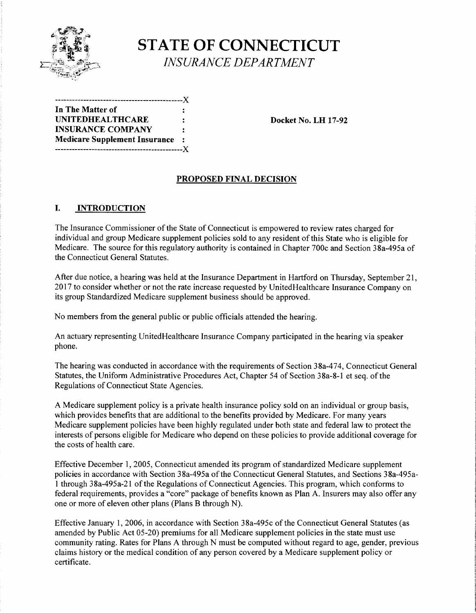

# **STATE OF CONNECTICUT**  *INSURANCE DEPARTMENT*

---------------------------------------------)( In The Matter of UNITEDHEALTHCARE : Docket No. LH 17-92 INSURANCE COMPANY Medicare Supplement Insurance ---------------------------------------------)(

#### PROPOSED FINAL DECISION

### I. INTRODUCTION

The Insurance Commissioner of the State of Connecticut is empowered to review rates charged for individual and group Medicare supplement policies sold to any resident of this State who is eligible for Medicare. The source for this regulatory authority is contained in Chapter 700c and Section 38a-495a of the Connecticut General Statutes.

After due notice, a hearing was held at the Insurance Department in Hartford on Thursday, September 21, 2017 to consider whether or not the rate increase requested by UnitedHealthcare Insurance Company on its group Standardized Medicare supplement business should be approved.

No members from the general public or public officials attended the hearing.

An actuary representing UnitedHealthcare Insurance Company participated in the hearing via speaker phone.

The hearing was conducted in accordance with the requirements of Section 38a-474, Connecticut General Statutes, the Uniform Administrative Procedures Act, Chapter 54 of Section 38a-8-1 et seq. of the Regulations of Connecticut State Agencies.

A Medicare supplement policy is a private health insurance policy sold on an individual or group basis, which provides benefits that are additional to the benefits provided by Medicare. For many years Medicare supplement policies have been highly regulated under both state and federal law to protect the interests of persons eligible for Medicare who depend on these policies to provide additional coverage for the costs of health care.

Effective December 1, 2005, Connecticut amended its program of standardized Medicare supplement policies in accordance with Section 38a-495a of the Connecticut General Statutes, and Sections 38a-495a-1 through 38a-495a-21 ofthe Regulations of Connecticut Agencies. This program, which conforms to federal requirements, provides a "core" package of benefits known as Plan A. Insurers may also offer any one or more of eleven other plans (Plans B through N).

Effective January 1, 2006, in accordance with Section 38a-495c of the Connecticut General Statutes (as amended by Public Act 05-20) premiums for all Medicare supplement policies in the state must use community rating. Rates for Plans A through N must be computed without regard to age, gender, previous claims history or the medical condition of any person covered by a Medicare supplement policy or certificate.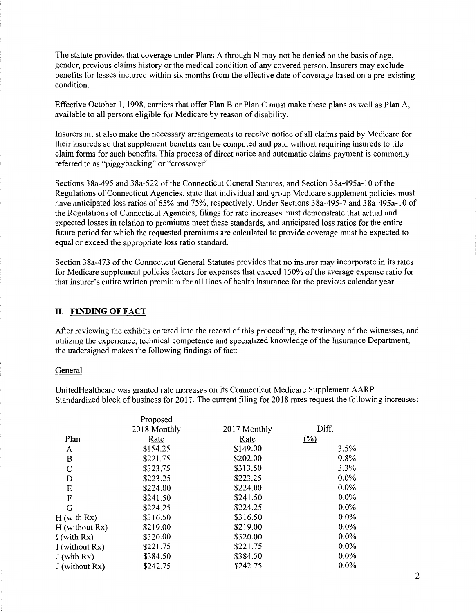The statute provides that coverage under Plans A through N may not be denied on the basis of age, gender, previous claims history or the medical condition of any covered person. Insurers may exclude benefits for losses incurred within six months from the effective date of coverage based on a pre-existing condition.

Effective October 1, 1998, carriers that offer Plan B or Plan C must make these plans as well as Plan A, available to all persons eligible for Medicare by reason of disability.

Insurers must also make the necessary arrangements to receive notice of all claims paid by Medicare for their insureds so that supplement benefits can be computed and paid without requiring insureds to file claim forms for such benefits. This process of direct notice and automatic claims payment is commonly referred to as "piggybacking" or "crossover".

Sections 38a-495 and 38a-522 ofthe Connecticut General Statutes, and Section 38a-495a-10 ofthe Regulations of Connecticut Agencies, state that individual and group Medicare supplement policies must have anticipated loss ratios of 65% and 75%, respectively. Under Sections 38a-495-7 and 38a-495a-10 of the Regulations of Connecticut Agencies, filings for rate increases must demonstrate that actual and expected losses in relation to premiums meet these standards, and anticipated loss ratios for the entire future period for which the requested premiums are calculated to provide coverage must be expected to equal or exceed the appropriate loss ratio standard.

Section 38a-473 of the Connecticut General Statutes provides that no insurer may incorporate in its rates for Medicare supplement policies factors for expenses that exceed 150% of the average expense ratio for that insurer's entire written premium for all lines of health insurance for the previous calendar year.

#### II. FINDING OF FACT

After reviewing the exhibits entered into the record of this proceeding, the testimony of the witnesses, and utilizing the experience, technical competence and specialized knowledge ofthe Insurance Department, the undersigned makes the following findings of fact:

#### General

UnitedHealthcare was granted rate increases on its Connecticut Medicare Supplement AARP Standardized block of business for 2017. The current filing for 2018 rates request the following increases:

|                | Proposed     |              |                     |
|----------------|--------------|--------------|---------------------|
|                | 2018 Monthly | 2017 Monthly | Diff.               |
| Plan           | Rate         | Rate         | $\frac{(\%)}{(\%)}$ |
| A              | \$154.25     | \$149.00     | 3.5%                |
| B              | \$221.75     | \$202.00     | 9.8%                |
| C              | \$323.75     | \$313.50     | 3.3%                |
| D              | \$223.25     | \$223.25     | $0.0\%$             |
| E              | \$224.00     | \$224.00     | $0.0\%$             |
| F              | \$241.50     | \$241.50     | $0.0\%$             |
| G              | \$224.25     | \$224.25     | $0.0\%$             |
| H (with Rx)    | \$316.50     | \$316.50     | $0.0\%$             |
| H (without Rx) | \$219.00     | \$219.00     | $0.0\%$             |
| I (with Rx)    | \$320.00     | \$320.00     | $0.0\%$             |
| I (without Rx) | \$221.75     | \$221.75     | $0.0\%$             |
| J (with Rx)    | \$384.50     | \$384.50     | $0.0\%$             |
| J (without Rx) | \$242.75     | \$242.75     | $0.0\%$             |
|                |              |              |                     |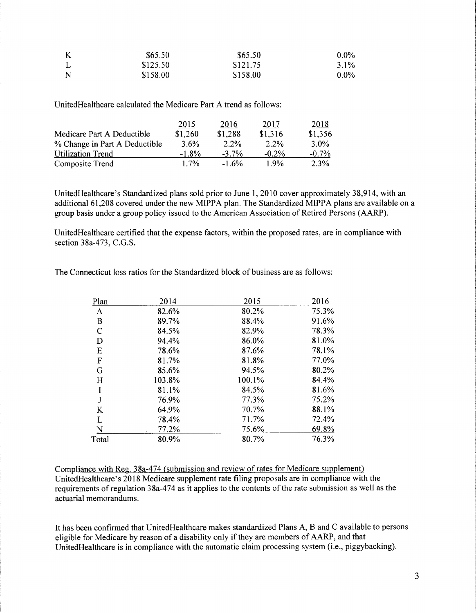| $\bf K$ | \$65.50  | \$65.50  | $0.0\%$ |
|---------|----------|----------|---------|
|         | \$125.50 | \$121.75 | $3.1\%$ |
| N       | \$158.00 | \$158.00 | $0.0\%$ |

UnitedHealthcare calculated the Medicare Part A trend as follows:

|                               | 2015     | 2016     | 2017     | 2018     |
|-------------------------------|----------|----------|----------|----------|
| Medicare Part A Deductible    | \$1,260  | \$1,288  | \$1,316  | \$1,356  |
| % Change in Part A Deductible | 3.6%     | $2.2\%$  | $2.2\%$  | $3.0\%$  |
| <b>Utilization Trend</b>      | $-1.8\%$ | $-3.7\%$ | $-0.2\%$ | $-0.7\%$ |
| Composite Trend               | $1.7\%$  | $-1.6%$  | $1.9\%$  | 2.3%     |

UnitedHealthcare's Standardized plans sold prior to June 1, 2010 cover approximately 38,914, with an additional 61,208 covered under the new MIPPA plan. The Standardized MIPPA plans are available on a group basis under a group policy issued to the American Association of Retired Persons (AARP).

UnitedHealthcare certified that the expense factors, within the proposed rates, are in compliance with section 38a-473, C.G.S.

The Connecticut loss ratios for the Standardized block of business are as follows:

| Plan         | 2014   | 2015   | 2016  |
|--------------|--------|--------|-------|
| A            | 82.6%  | 80.2%  | 75.3% |
| B            | 89.7%  | 88.4%  | 91.6% |
| $\mathsf{C}$ | 84.5%  | 82.9%  | 78.3% |
| D            | 94.4%  | 86.0%  | 81.0% |
| E            | 78.6%  | 87.6%  | 78.1% |
| $\mathbf F$  | 81.7%  | 81.8%  | 77.0% |
| G            | 85.6%  | 94.5%  | 80.2% |
| H            | 103.8% | 100.1% | 84.4% |
| I            | 81.1%  | 84.5%  | 81.6% |
| J            | 76.9%  | 77.3%  | 75.2% |
| K            | 64.9%  | 70.7%  | 88.1% |
| L            | 78.4%  | 71.7%  | 72.4% |
| N            | 77.2%  | 75.6%  | 69.8% |
| Total        | 80.9%  | 80.7%  | 76.3% |

Compliance with Reg. 38a-474 (submission and review of rates for Medicare supplement) UnitedHealthcare's 2018 Medicare supplement rate filing proposals are in compliance with the requirements of regulation 38a-474 as it applies to the contents of the rate submission as well as the actuarial memorandums.

It has been confirmed that UnitedHealthcare makes standardized Plans A, B and C available to persons eligible for Medicare by reason of a disability only if they are members of AARP, and that UnitedHealthcare is in compliance with the automatic claim processing system (i.e., piggybacking).